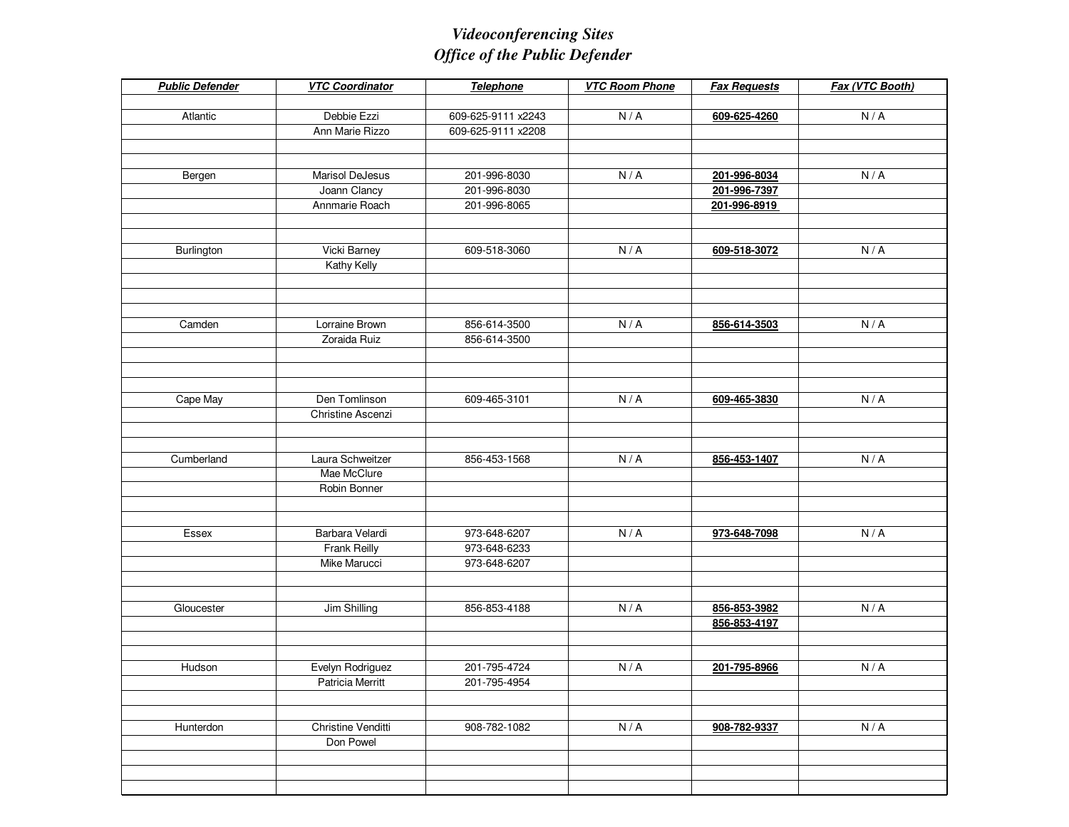## *Videoconferencing SitesOffice of the Public Defender*

| <b>Public Defender</b> | <b>VTC Coordinator</b>         | Telephone          | <b>VTC Room Phone</b> | <b>Fax Requests</b> | Fax (VTC Booth) |
|------------------------|--------------------------------|--------------------|-----------------------|---------------------|-----------------|
|                        |                                |                    |                       |                     |                 |
| Atlantic               | Debbie Ezzi                    | 609-625-9111 x2243 | N/A                   | 609-625-4260        | N/A             |
|                        | Ann Marie Rizzo                | 609-625-9111 x2208 |                       |                     |                 |
|                        |                                |                    |                       |                     |                 |
|                        |                                |                    |                       |                     |                 |
| Bergen                 | Marisol DeJesus                | 201-996-8030       | N/A                   | 201-996-8034        | N/A             |
|                        | Joann Clancy                   | 201-996-8030       |                       | 201-996-7397        |                 |
|                        | Annmarie Roach                 | 201-996-8065       |                       | 201-996-8919        |                 |
|                        |                                |                    |                       |                     |                 |
|                        |                                |                    |                       |                     |                 |
| Burlington             | Vicki Barney                   | 609-518-3060       | N/A                   | 609-518-3072        | N/A             |
|                        | Kathy Kelly                    |                    |                       |                     |                 |
|                        |                                |                    |                       |                     |                 |
|                        |                                |                    |                       |                     |                 |
|                        |                                |                    |                       |                     |                 |
| Camden                 | Lorraine Brown<br>Zoraida Ruiz | 856-614-3500       | N/A                   | 856-614-3503        | N/A             |
|                        |                                | 856-614-3500       |                       |                     |                 |
|                        |                                |                    |                       |                     |                 |
|                        |                                |                    |                       |                     |                 |
| Cape May               | Den Tomlinson                  | 609-465-3101       | N/A                   | 609-465-3830        | N/A             |
|                        | Christine Ascenzi              |                    |                       |                     |                 |
|                        |                                |                    |                       |                     |                 |
|                        |                                |                    |                       |                     |                 |
| Cumberland             | Laura Schweitzer               | 856-453-1568       | N/A                   | 856-453-1407        | N/A             |
|                        | Mae McClure                    |                    |                       |                     |                 |
|                        | Robin Bonner                   |                    |                       |                     |                 |
|                        |                                |                    |                       |                     |                 |
|                        |                                |                    |                       |                     |                 |
| Essex                  | Barbara Velardi                | 973-648-6207       | N/A                   | 973-648-7098        | N/A             |
|                        | Frank Reilly                   | 973-648-6233       |                       |                     |                 |
|                        | Mike Marucci                   | 973-648-6207       |                       |                     |                 |
|                        |                                |                    |                       |                     |                 |
|                        |                                |                    |                       |                     |                 |
| Gloucester             | Jim Shilling                   | 856-853-4188       | N/A                   | 856-853-3982        | N/A             |
|                        |                                |                    |                       | 856-853-4197        |                 |
|                        |                                |                    |                       |                     |                 |
|                        |                                |                    |                       |                     |                 |
| Hudson                 | Evelyn Rodriguez               | 201-795-4724       | N/A                   | 201-795-8966        | N/A             |
|                        | Patricia Merritt               | 201-795-4954       |                       |                     |                 |
|                        |                                |                    |                       |                     |                 |
|                        |                                |                    |                       |                     |                 |
| Hunterdon              | Christine Venditti             | 908-782-1082       | N/A                   | 908-782-9337        | N/A             |
|                        | Don Powel                      |                    |                       |                     |                 |
|                        |                                |                    |                       |                     |                 |
|                        |                                |                    |                       |                     |                 |
|                        |                                |                    |                       |                     |                 |